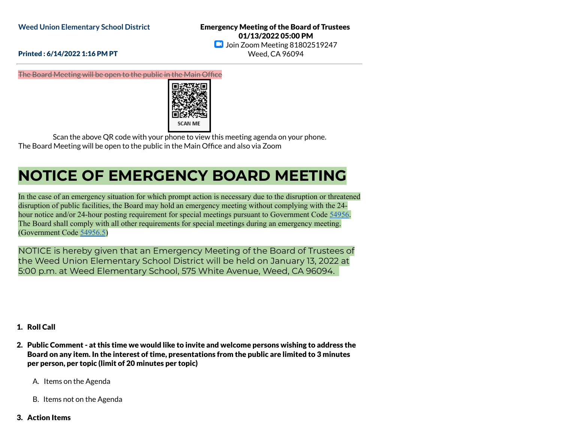Emergency Meeting of the Board of Trustees 01/13/2022 05:00 PM **Join Zoom Meeting 81802519247** Weed, CA 96094

## Printed : 6/14/2022 1:16 PM PT

The Board Meeting will be open to the public in the Main Office



Scan the above QR code with your phone to view this meeting agenda on your phone. The Board Meeting will be open to the public in the Main Office and also via Zoom

## **NOTICE OF EMERGENCY BOARD MEETING**

In the case of an emergency situation for which prompt action is necessary due to the disruption or threatened disruption of public facilities, the Board may hold an emergency meeting without complying with the 24 hour notice and/or 24-hour posting requirement for special meetings pursuant to Government Code [54956](http://gamutonline.net/displayPolicy/145080/9). The Board shall comply with all other requirements for special meetings during an emergency meeting. (Government Code [54956.5](http://gamutonline.net/displayPolicy/145081/9))

NOTICE is hereby given that an Emergency Meeting of the Board of Trustees of the Weed Union Elementary School District will be held on January 13, 2022 at 5:00 p.m. at Weed Elementary School, 575 White Avenue, Weed, CA 96094.

- 1. Roll Call
- 2. Public Comment at this time we would like to invite and welcome persons wishing to address the Board on any item. In the interest of time, presentations from the public are limited to 3 minutes per person, per topic (limit of 20 minutes per topic)
	- A. Items on the Agenda
	- B. Items not on the Agenda
- 3. Action Items